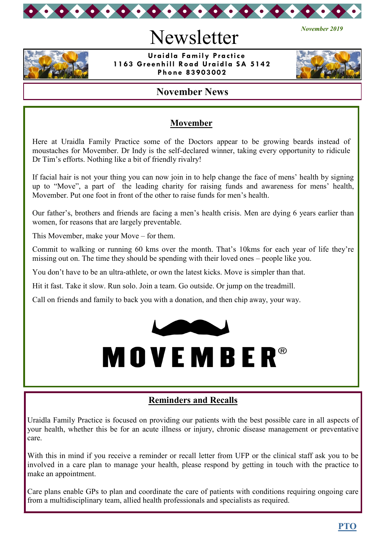

# Newsletter



 **Uraidla Family Practice 1163 Greenhill Road Uraidla SA 5142 Phone 83903002**



*November 2019*

# **November News**

# **Movember**

Here at Uraidla Family Practice some of the Doctors appear to be growing beards instead of moustaches for Movember. Dr Indy is the self-declared winner, taking every opportunity to ridicule Dr Tim's efforts. Nothing like a bit of friendly rivalry!

If facial hair is not your thing you can now join in to help change the face of mens' health by signing up to "Move", a part of the leading charity for raising funds and awareness for mens' health, Movember. Put one foot in front of the other to raise funds for men's health.

Our father's, brothers and friends are facing a men's health crisis. Men are dying 6 years earlier than women, for reasons that are largely preventable.

This Movember, make your Move – for them.

Commit to walking or running 60 kms over the month. That's 10kms for each year of life they're missing out on. The time they should be spending with their loved ones – people like you.

You don't have to be an ultra-athlete, or own the latest kicks. Move is simpler than that.

Hit it fast. Take it slow. Run solo. Join a team. Go outside. Or jump on the treadmill.

Call on friends and family to back you with a donation, and then chip away, your way.





# **Reminders and Recalls**

Uraidla Family Practice is focused on providing our patients with the best possible care in all aspects of your health, whether this be for an acute illness or injury, chronic disease management or preventative care.

With this in mind if you receive a reminder or recall letter from UFP or the clinical staff ask you to be involved in a care plan to manage your health, please respond by getting in touch with the practice to make an appointment.

Care plans enable GPs to plan and coordinate the care of patients with conditions requiring ongoing care from a multidisciplinary team, allied health professionals and specialists as required.